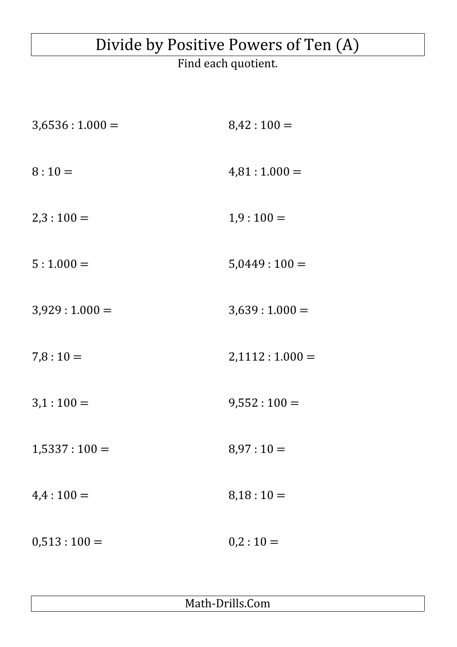## Divide by Positive Powers of Ten (A)

Find each quotient.

| $3,6536:1.000=$ | $8,42:100=$     |
|-----------------|-----------------|
| $8:10=$         | $4,81:1.000=$   |
| $2,3:100=$      | $1,9:100=$      |
| $5:1.000=$      | $5,0449:100=$   |
| $3,929:1.000=$  | $3,639:1.000=$  |
| $7,8:10=$       | $2,1112:1.000=$ |
| $3,1:100=$      | $9,552:100=$    |
| $1,5337:100=$   | $8,97:10=$      |
| $4,4:100=$      | $8,18:10=$      |
| $0,513:100=$    | $0,2:10=$       |